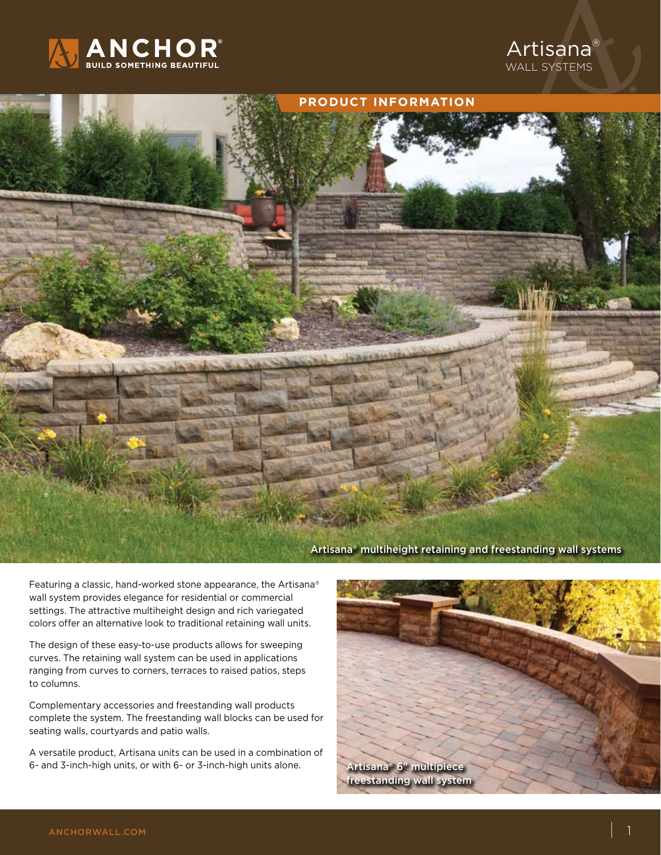





Featuring a classic, hand-worked stone appearance, the Artisana® wall system provides elegance for residential or commercial settings. The attractive multiheight design and rich variegated colors offer an alternative look to traditional retaining wall units.

The design of these easy-to-use products allows for sweeping curves. The retaining wall system can be used in applications ranging from curves to corners, terraces to raised patios, steps to columns.

Complementary accessories and freestanding wall products complete the system. The freestanding wall blocks can be used for seating walls, courtyards and patio walls.

A versatile product, Artisana units can be used in a combination of 6- and 3-inch-high units, or with 6- or 3-inch-high units alone.

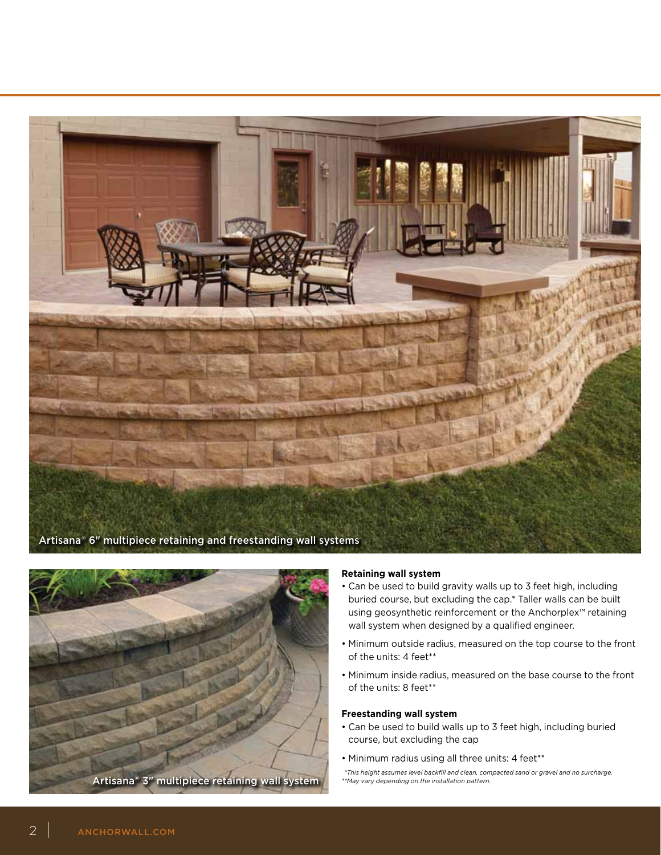



## **Retaining wall system**

- Can be used to build gravity walls up to 3 feet high, including buried course, but excluding the cap.\* Taller walls can be built using geosynthetic reinforcement or the Anchorplex™ retaining wall system when designed by a qualified engineer.
- Minimum outside radius, measured on the top course to the front of the units: 4 feet\*\*
- Minimum inside radius, measured on the base course to the front of the units: 8 feet\*\*

## **Freestanding wall system**

- Can be used to build walls up to 3 feet high, including buried course, but excluding the cap
- Minimum radius using all three units: 4 feet\*\*

 *<sup>\*</sup>This height assumes level backfill and clean, compacted sand or gravel and no surcharge. \*\*May vary depending on the installation pattern.*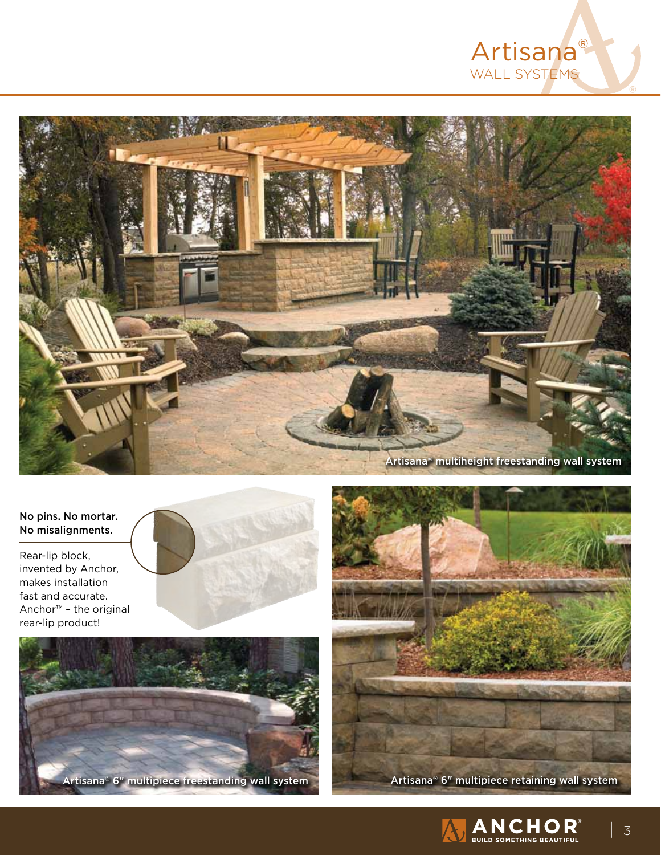



## No pins. No mortar. No misalignments.

Rear-lip block, invented by Anchor, makes installation fast and accurate. Anchor™ – the original



Artisana® 6" multipiece freestanding wall system Artisana® 6" multipiece retaining wall system